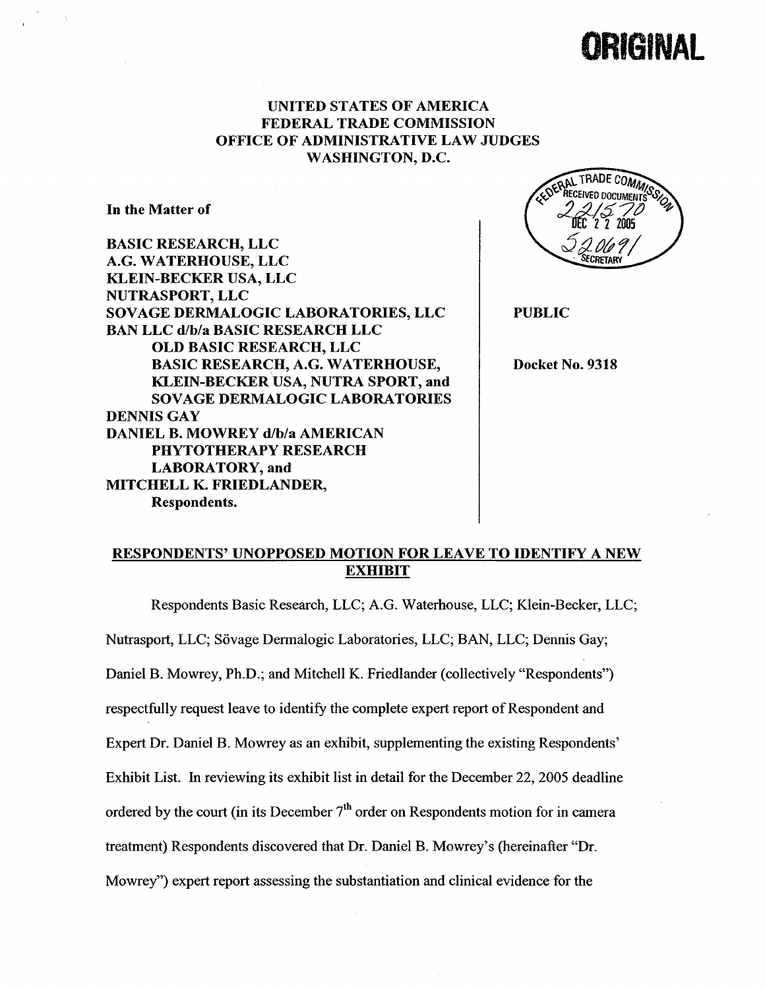# IKIGINA

#### UNITED STATES OF AMERICA FEDERAL TRADE COMMISSION OFFICE OF ADMINISTRATIVE LAW JUDGES WASHINGTON, D.

In the Matter of

BASIC RESEARCH, LLC G. WATERHOUSE, LLC KLEIN-BECKER USA, LLC NUTRASPORT, LLC SOVAGE DERMALOGIC LABORATORIES, LLC BAN LLC d/b/a BASIC RESEARCH LLC OLD BASIC RESEARCH, LLC BASIC RESEARCH, A.G. WATERHOUSE KLEIN-BECKER USA, NUTRA SPORT, and SOVAGE DERMALOGIC LABORATORIES DENNIS GAY DANIEL B. MOWREY d/b/a AMERICAN PHYTOTHERAPY RESEARCH LABORATORY, and MITCHELL K. FRIEDLANDER Respondents.



PUBLIC

Docket No. 9318

## RESPONDENTS' UNOPPOSED MOTION FOR LEAVE TO IDENTIFY A NEW EXHIBIT

Respondents Basic Research, LLC; A.G. Waterhouse, LLC; Klein-Becker, LLC;

Nutrasport, LLC; Sövage Dermalogic Laboratories, LLC; BAN, LLC; Dennis Gay;

Daniel B. Mowrey, Ph.D.; and Mitchell K. Friedlander (collectively "Respondents")

respectfully request leave to identify the complete expert report of Respondent and

Expert Dr. Daniel B. Mowrey as an exhibit, supplementing the existing Respondents

Exhibit List. In reviewing its exhibit list in detail for the December 22, 2005 deadline

ordered by the court (in its December  $7<sup>th</sup>$  order on Respondents motion for in camera

treatment) Respondents discovered that Dr. Daniel B. Mowrey's (hereinafter "Dr.

Mowrey") expert report assessing the substantiation and clinical evidence for the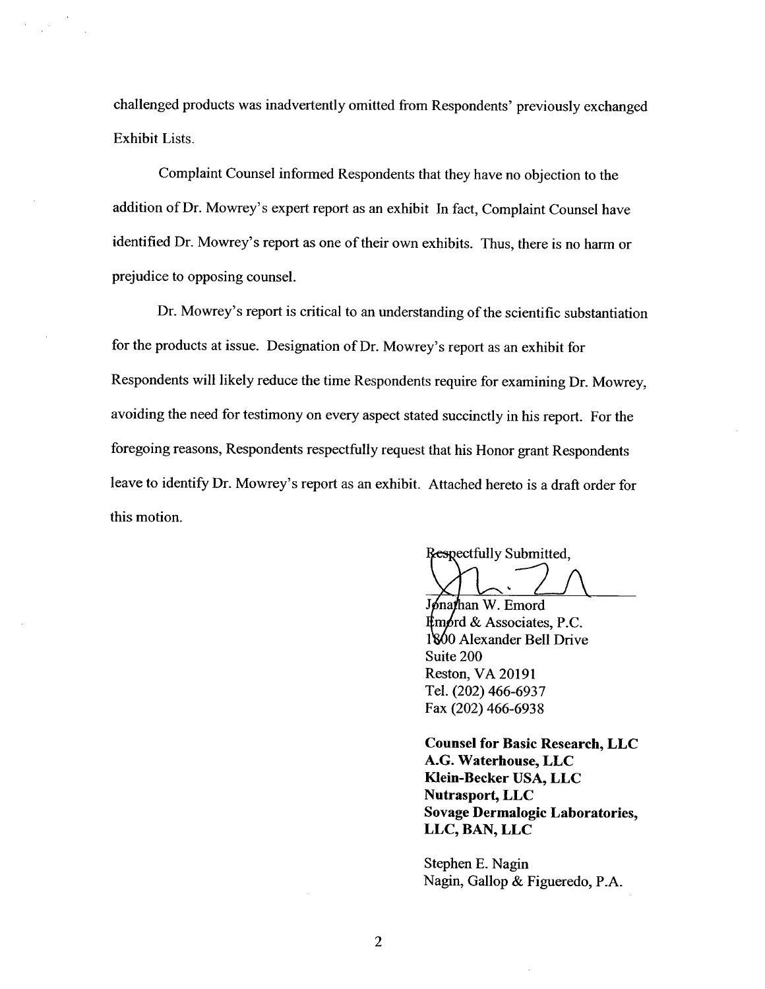challenged products was inadvertently omitted from Respondents' previously exchanged Exhibit Lists.

Complaint Counsel infonned Respondents that they have no objection to the addition of Dr. Mowrey's expert report as an exhibit In fact, Complaint Counsel have identified Dr. Mowrey's report as one of their own exhibits. Thus, there is no harm or prejudice to opposing counsel.

Dr. Mowrey's report is critical to an understanding of the scientific substantiation for the products at issue. Designation of Dr. Mowrey's report as an exhibit for Respondents will likely reduce the time Respondents require for examining Dr. Mowrey, avoiding the need for testimony on every aspect stated succinctly in his report. For the foregoing reasons, Respondents respectfully request that his Honor grant Respondents leave to identify Dr. Mowrey's report as an exhibit. Attached hereto is a draft order for this motion.

Respectfully Submitted.

Jonathan W. Emord  $\n *Emprd* & Associates, P.C.\n$ 1800 Alexander Bell Drive Suite 200 Reston, VA 20191 Tel. (202) 466-6937 Fax (202) 466-6938

Counsel for Basic Research, LLC G. Waterhouse, LLC Klein-Becker USA, LLC Nutrasport, LLC Sovage Dermalogic Laboratories LLC, BAN, LLC

Stephen E. Nagin Nagin, Gallop & Figueredo, P.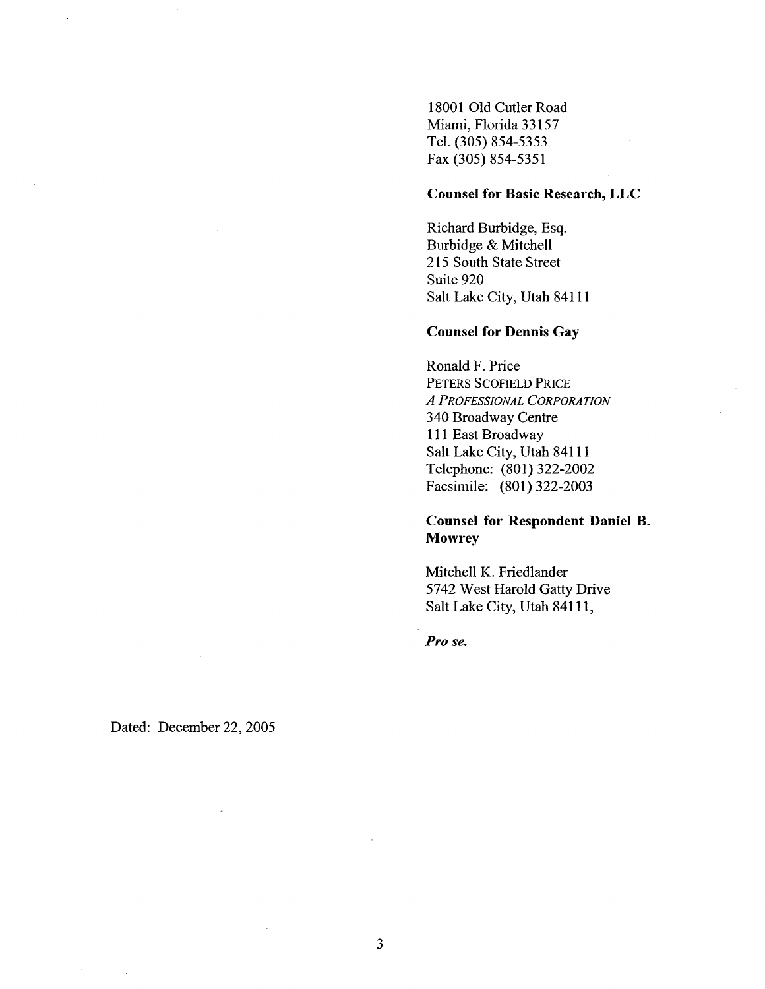18001 Old Cutler Road Miami, Florida 33157 Tel. (305) 854-5353 Fax (305) 854-5351

#### Counsel for Basic Research, LLC

Richard Burbidge, Esq. Burbidge & Mitchell 215 South State Street Suite 920 Salt Lake City, Utah 84111

#### Counsel for Dennis Gay

Ronald F. Price PETERS SCOFIELD PRICE A PROFESSIONAL CORPORATION 340 Broadway Centre <sup>111</sup>East Broadway Salt Lake City, Utah 84111 Telephone: (801) 322-2002 Facsimile: (801) 322-2003

## Counsel for Respondent Daniel B. **Mowrey**

Mitchell K. Friedlander 5742 West Harold Gatty Drive Salt Lake City, Utah 84111

Pro se.

Dated: December 22, 2005

 $\mathcal{L}$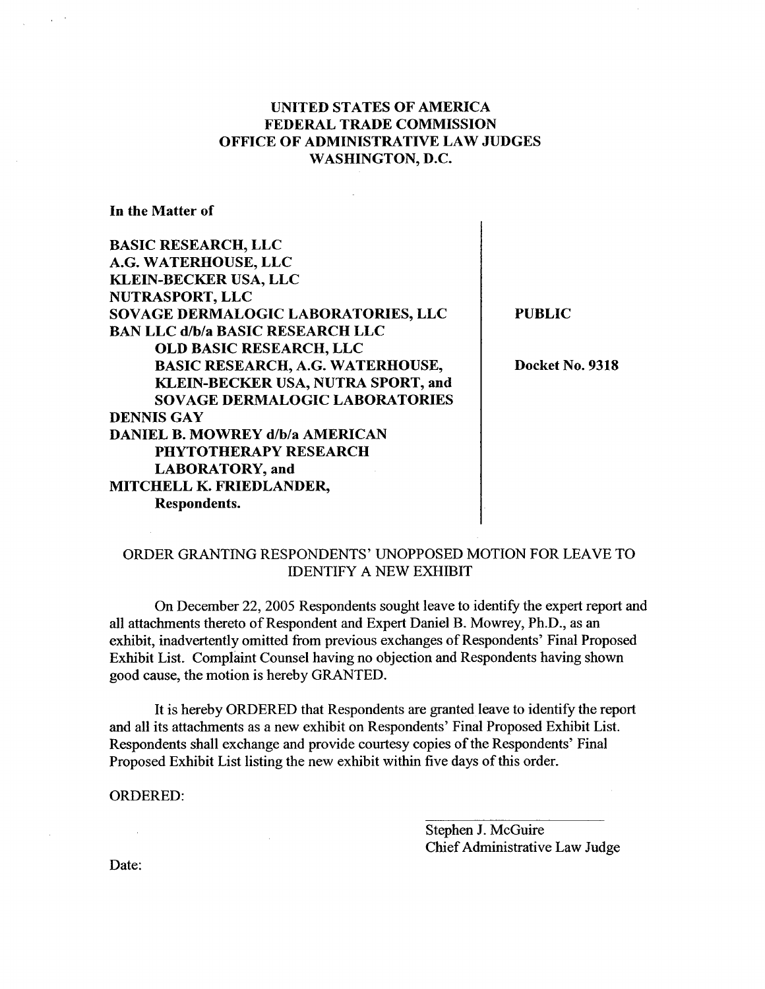### UNITED STATES OF AMERICA FEDERAL TRADE COMMISSION OFFICE OF ADMINISTRATIVE LAW JUDGES WASHINGTON, D.

à.

In the Matter of

 $\alpha$ 

| <b>BASIC RESEARCH, LLC</b>              |  |
|-----------------------------------------|--|
| A.G. WATERHOUSE, LLC                    |  |
| <b>KLEIN-BECKER USA, LLC</b>            |  |
| NUTRASPORT, LLC                         |  |
| SOVAGE DERMALOGIC LABORATORIES, LLC     |  |
| <b>BAN LLC d/b/a BASIC RESEARCH LLC</b> |  |
| <b>OLD BASIC RESEARCH, LLC</b>          |  |
| BASIC RESEARCH, A.G. WATERHOUSE,        |  |
| KLEIN-BECKER USA, NUTRA SPORT, and      |  |
| <b>SOVAGE DERMALOGIC LABORATORIES</b>   |  |
| <b>DENNIS GAY</b>                       |  |
| <b>DANIEL B. MOWREY d/b/a AMERICAN</b>  |  |
| PHYTOTHERAPY RESEARCH                   |  |
| <b>LABORATORY</b> , and                 |  |
| MITCHELL K. FRIEDLANDER,                |  |
| <b>Respondents.</b>                     |  |
|                                         |  |

PUBLIC

 $\overline{1}$ 

 $\overline{\phantom{a}}$ 

Docket No. 9318

# ORDER GRANTING RESPONDENTS' UNOPPOSED MOTION FOR LEA VE TO IDENTIFY A NEW EXHIBIT

On December 22, 2005 Respondents sought leave to identify the expert report and all attachments thereto of Respondent and Expert Daniel B. Mowrey, Ph.D., as an exhibit, inadvertently omitted from previous exchanges of Respondents' Final Proposed Exhibit List. Complaint Counsel having no objection and Respondents having shown good cause, the motion is hereby GRANTED.

It is hereby ORDERED that Respondents are granted leave to identify the report and all its attachments as a new exhibit on Respondents' Final Proposed Exhibit List. Respondents shall exchange and provide courtesy copies of the Respondents' Final Proposed Exhibit List listing the new exhibit within five days of this order.

 $\mathcal{L}^{\mathcal{L}}$ 

ORDERED:

Stephen J. McGuire Chief Administrative Law Judge

Date:

 $\sim 10$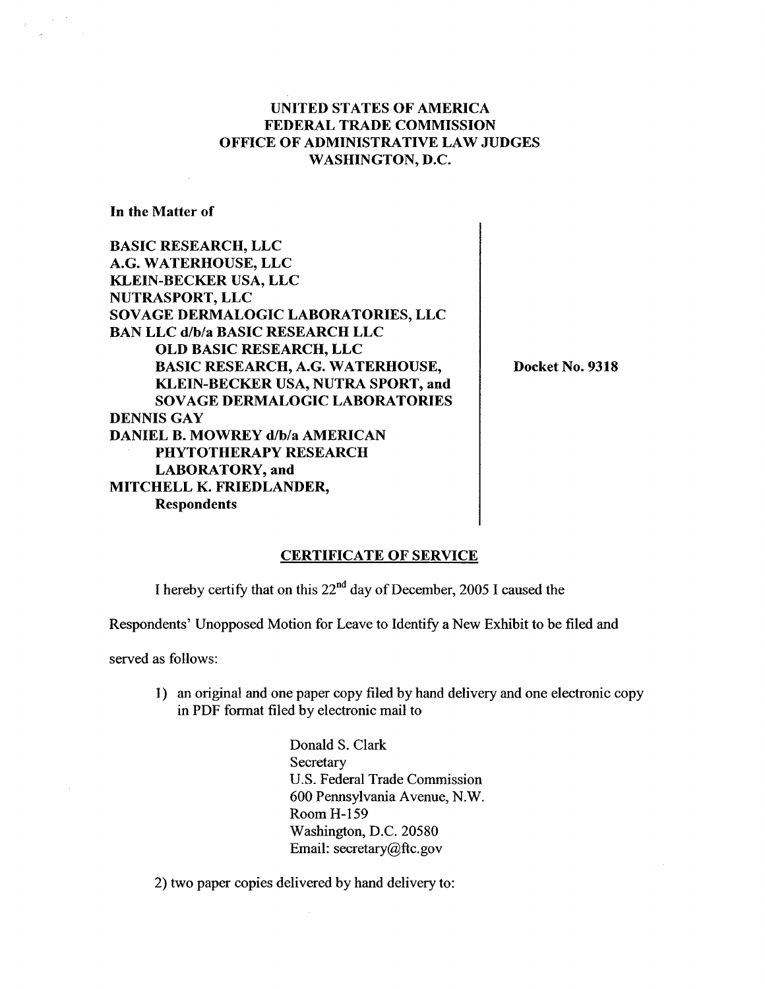#### UNITED STATES OF AMERICA FEDERAL TRADE COMMISSION OFFICE OF ADMINISTRATIVE LAW JUDGES WASHINGTON, D.

In the Matter of

BASIC RESEARCH, LLC G. WATERHOUSE, LLC KLEIN-BECKER USA, LLC NUTRASPORT, LLC SOVAGE DERMALOGIC LABORATORIES, LLC BAN LLC d/b/a BASIC RESEARCH LLC OLD BASIC RESEARCH, LLC BASIC RESEARCH, A.G. WATERHOUSE KLEIN-BECKER USA, NUTRA SPORT, and SOVAGE DERMALOGIC LABORATORIES DENNIS GAY DANIEL B. MOWREY d/b/a AMERICAN PHYTOTHERAPY RESEARCH LABORATORY, and MITCHELL K. FRIEDLANDER Respondents

Docket No. 9318

#### CERTIFICATE OF SERVICE

I hereby certify that on this  $22<sup>nd</sup>$  day of December, 2005 I caused the

Respondents' Unopposed Motion for Leave to Identify a New Exhibit to be filed and

served as follows:

1) an original and one paper copy filed by hand delivery and one electronic copy in PDF fonnat filed by electronic mail to

> Donald S. Clark **Secretary** U.S. Federal Trade Commission 600 Pennsylvania Avenue, N. Room H- 159 Washington, D.C. 20580 Email: secretary@ftc.gov

2) two paper copies delivered by hand delivery to: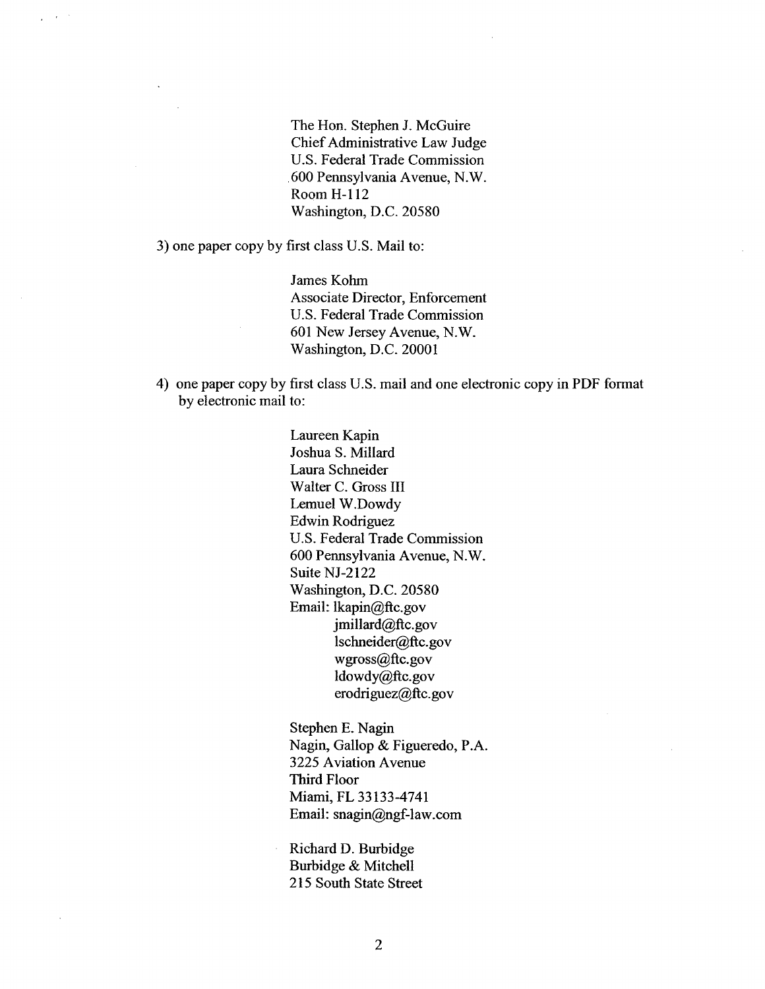The Hon. Stephen J. McGuire Chief Administrative Law Judge U.S. Federal Trade Commission 600 Pennsylvania Avenue, N. Room H- 112 Washington, D.C. 20580

3) one paper copy by first class U.S. Mail to:

 $\rightarrow$ 

James Kohm Associate Director, Enforcement U.S. Federal Trade Commission 601 New Jersey Avenue, N. Washington, D.C. 20001

4) one paper copy by first class U.S. mail and one electronic copy in PDF format by electronic mail to:

> Laureen Kapin Joshua S. Milard Laura Schneider Walter C. Gross III Lemuel W.Dowdy Edwin Rodriguez U.S. Federal Trade Commission 600 Pennsylvania Avenue, N. Suite NJ-2122 Washington, D.C. 20580 Email: lkapin@ftc.gov jmillard@ftc.gov lschneider@ftc.gov wgross@ftc.gov ldowdy@ftc.gov erodriguez@ftc.gov

Stephen E. Nagin Nagin, Gallop & Figueredo, P. 3225 Aviation Avenue Third Floor Miami, FL 33133-4741 Email: snagin@ngf-law.com

Richard D. Burbidge Burbidge & Mitchell 215 South State Street